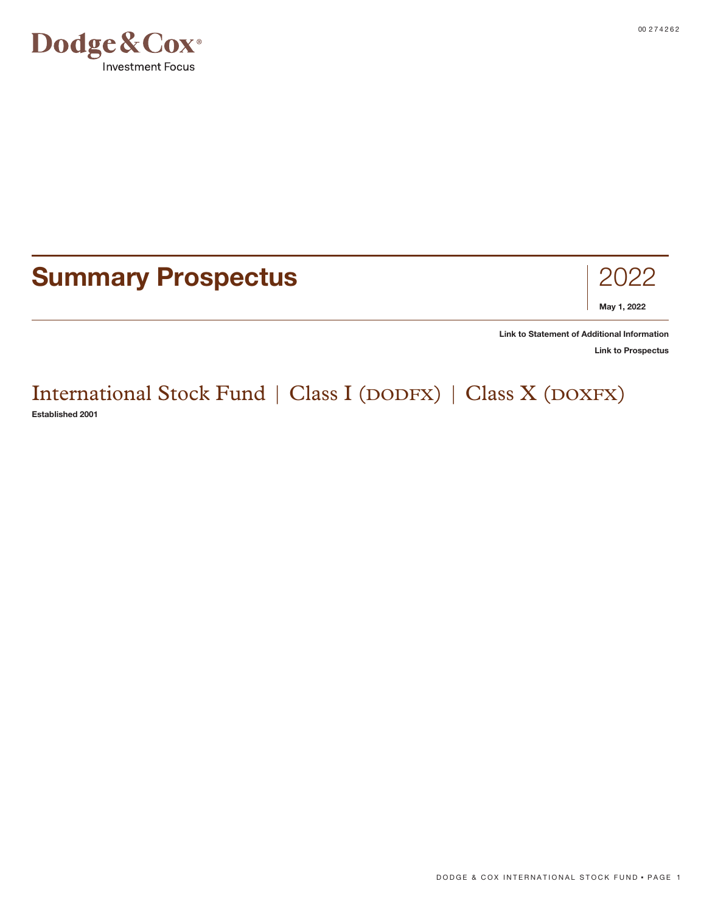

# **Summary Prospectus** 2022



**[Link to Statement of Additional Information](https://www.dodgeandcox.com/content/dam/dc/us/en/pdf/disclosures/dc_statement_of_additional_information.pdf)**

**[Link to Prospectus](https://www.dodgeandcox.com/content/dam/dc/us/en/pdf/prospectuses/dc_statutory_prospectus.pdf)**

# International Stock Fund | Class I (DODFX) | Class X (DOXFX) **Established 2001**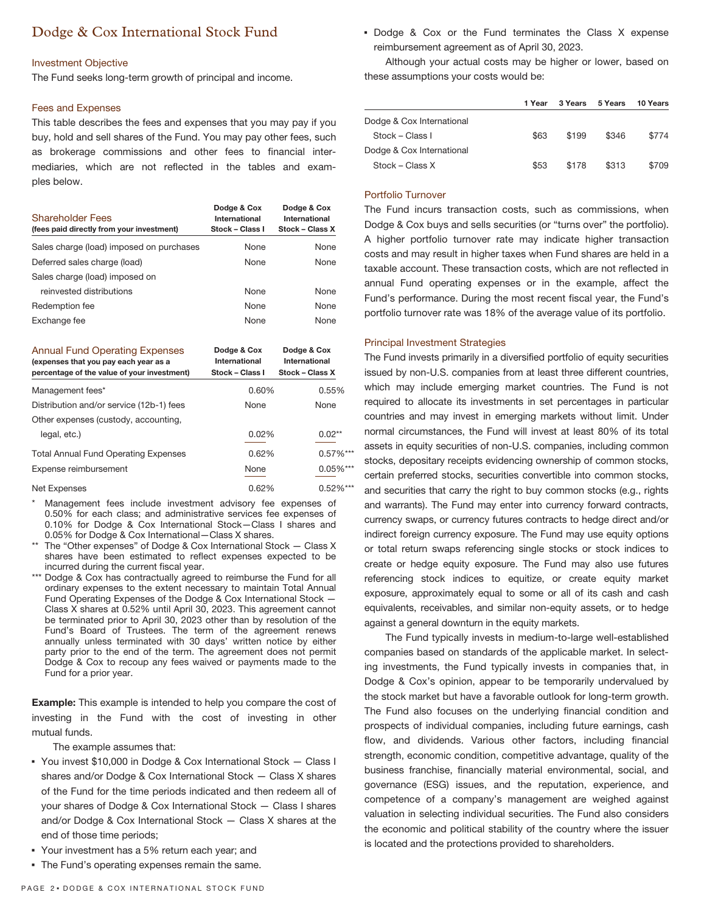# Dodge & Cox International Stock Fund

## Investment Objective

The Fund seeks long-term growth of principal and income.

### Fees and Expenses

This table describes the fees and expenses that you may pay if you buy, hold and sell shares of the Fund. You may pay other fees, such as brokerage commissions and other fees to financial intermediaries, which are not reflected in the tables and examples below.

| <b>Shareholder Fees</b><br>(fees paid directly from your investment)                                                          | Dodge & Cox<br>International<br>Stock - Class I | Dodge & Cox<br>International<br>Stock - Class X |
|-------------------------------------------------------------------------------------------------------------------------------|-------------------------------------------------|-------------------------------------------------|
| Sales charge (load) imposed on purchases                                                                                      | None                                            | None                                            |
| Deferred sales charge (load)                                                                                                  | None                                            | None                                            |
| Sales charge (load) imposed on                                                                                                |                                                 |                                                 |
| reinvested distributions                                                                                                      | None                                            | None                                            |
| Redemption fee                                                                                                                | None                                            | None                                            |
| Exchange fee                                                                                                                  | None                                            | None                                            |
| <b>Annual Fund Operating Expenses</b><br>(expenses that you pay each year as a<br>percentage of the value of your investment) | Dodge & Cox<br>International<br>Stock – Class I | Dodge & Cox<br>International<br>Stock – Class X |

| percentage of the value of your investment. | <b>SLUCK – GIASS I</b> | <b>SLUCK – GIASS A</b> |
|---------------------------------------------|------------------------|------------------------|
| Management fees*                            | 0.60%                  | 0.55%                  |
| Distribution and/or service (12b-1) fees    | None                   | None                   |
| Other expenses (custody, accounting,        |                        |                        |
| legal, etc.)                                | 0.02%                  | $0.02***$              |
| <b>Total Annual Fund Operating Expenses</b> | 0.62%                  | $0.57\%$ ***           |
| Expense reimbursement                       | None                   | $0.05\%***$            |
| Net Expenses                                | 0.62%                  | $0.52\%***$            |

Management fees include investment advisory fee expenses of 0.50% for each class; and administrative services fee expenses of 0.10% for Dodge & Cox International Stock—Class I shares and 0.05% for Dodge & Cox International—Class X shares.

- \*\* The "Other expenses" of Dodge & Cox International Stock Class X shares have been estimated to reflect expenses expected to be incurred during the current fiscal year.
- \*\*\* Dodge & Cox has contractually agreed to reimburse the Fund for all ordinary expenses to the extent necessary to maintain Total Annual Fund Operating Expenses of the Dodge & Cox International Stock — Class X shares at 0.52% until April 30, 2023. This agreement cannot be terminated prior to April 30, 2023 other than by resolution of the Fund's Board of Trustees. The term of the agreement renews annually unless terminated with 30 days' written notice by either party prior to the end of the term. The agreement does not permit Dodge & Cox to recoup any fees waived or payments made to the Fund for a prior year.

**Example:** This example is intended to help you compare the cost of investing in the Fund with the cost of investing in other mutual funds.

The example assumes that:

- You invest \$10,000 in Dodge & Cox International Stock Class I shares and/or Dodge & Cox International Stock — Class X shares of the Fund for the time periods indicated and then redeem all of your shares of Dodge & Cox International Stock — Class I shares and/or Dodge & Cox International Stock — Class X shares at the end of those time periods;
- Your investment has a 5% return each year; and
- The Fund's operating expenses remain the same.

▪ Dodge & Cox or the Fund terminates the Class X expense reimbursement agreement as of April 30, 2023.

Although your actual costs may be higher or lower, based on these assumptions your costs would be:

|                           | 1 Year | 3 Years | 5 Years | 10 Years |
|---------------------------|--------|---------|---------|----------|
| Dodge & Cox International |        |         |         |          |
| Stock – Class I           | \$63   | \$199   | \$346   | \$774    |
| Dodge & Cox International |        |         |         |          |
| Stock – Class X           | \$53   | \$178   | \$313   | \$709    |

# Portfolio Turnover

The Fund incurs transaction costs, such as commissions, when Dodge & Cox buys and sells securities (or "turns over" the portfolio). A higher portfolio turnover rate may indicate higher transaction costs and may result in higher taxes when Fund shares are held in a taxable account. These transaction costs, which are not reflected in annual Fund operating expenses or in the example, affect the Fund's performance. During the most recent fiscal year, the Fund's portfolio turnover rate was 18% of the average value of its portfolio.

#### Principal Investment Strategies

The Fund invests primarily in a diversified portfolio of equity securities issued by non-U.S. companies from at least three different countries, which may include emerging market countries. The Fund is not required to allocate its investments in set percentages in particular countries and may invest in emerging markets without limit. Under normal circumstances, the Fund will invest at least 80% of its total assets in equity securities of non-U.S. companies, including common stocks, depositary receipts evidencing ownership of common stocks, certain preferred stocks, securities convertible into common stocks, and securities that carry the right to buy common stocks (e.g., rights and warrants). The Fund may enter into currency forward contracts, currency swaps, or currency futures contracts to hedge direct and/or indirect foreign currency exposure. The Fund may use equity options or total return swaps referencing single stocks or stock indices to create or hedge equity exposure. The Fund may also use futures referencing stock indices to equitize, or create equity market exposure, approximately equal to some or all of its cash and cash equivalents, receivables, and similar non-equity assets, or to hedge against a general downturn in the equity markets.

The Fund typically invests in medium-to-large well-established companies based on standards of the applicable market. In selecting investments, the Fund typically invests in companies that, in Dodge & Cox's opinion, appear to be temporarily undervalued by the stock market but have a favorable outlook for long-term growth. The Fund also focuses on the underlying financial condition and prospects of individual companies, including future earnings, cash flow, and dividends. Various other factors, including financial strength, economic condition, competitive advantage, quality of the business franchise, financially material environmental, social, and governance (ESG) issues, and the reputation, experience, and competence of a company's management are weighed against valuation in selecting individual securities. The Fund also considers the economic and political stability of the country where the issuer is located and the protections provided to shareholders.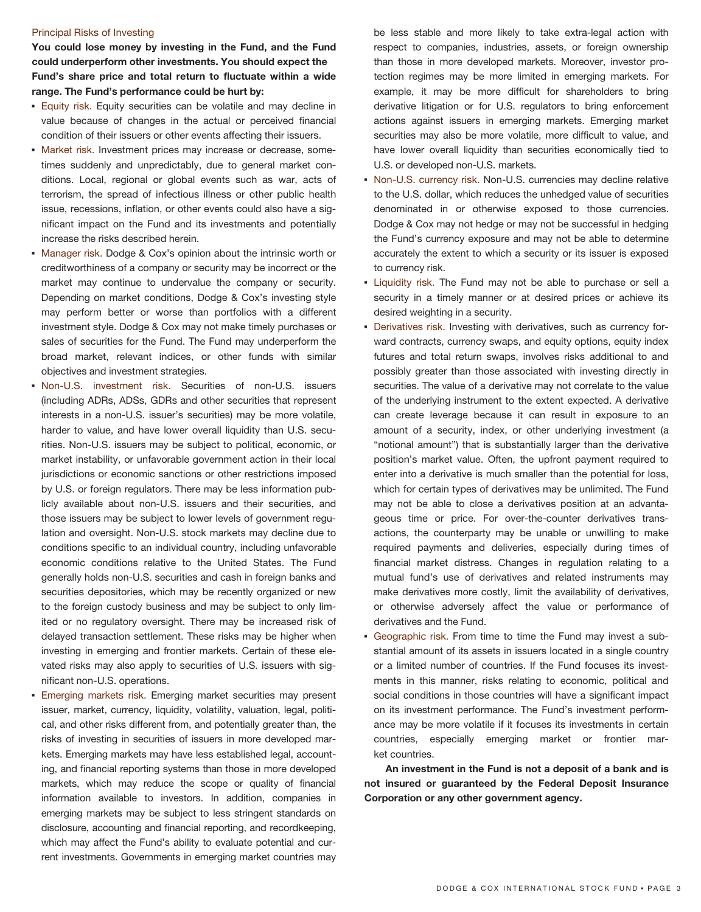### Principal Risks of Investing

**You could lose money by investing in the Fund, and the Fund could underperform other investments. You should expect the Fund's share price and total return to fluctuate within a wide range. The Fund's performance could be hurt by:**

- **Equity risk.** Equity securities can be volatile and may decline in value because of changes in the actual or perceived financial condition of their issuers or other events affecting their issuers.
- **· Market risk. Investment prices may increase or decrease, some**times suddenly and unpredictably, due to general market conditions. Local, regional or global events such as war, acts of terrorism, the spread of infectious illness or other public health issue, recessions, inflation, or other events could also have a significant impact on the Fund and its investments and potentially increase the risks described herein.
- Manager risk. Dodge & Cox's opinion about the intrinsic worth or creditworthiness of a company or security may be incorrect or the market may continue to undervalue the company or security. Depending on market conditions, Dodge & Cox's investing style may perform better or worse than portfolios with a different investment style. Dodge & Cox may not make timely purchases or sales of securities for the Fund. The Fund may underperform the broad market, relevant indices, or other funds with similar objectives and investment strategies.
- Non-U.S. investment risk. Securities of non-U.S. issuers (including ADRs, ADSs, GDRs and other securities that represent interests in a non-U.S. issuer's securities) may be more volatile, harder to value, and have lower overall liquidity than U.S. securities. Non-U.S. issuers may be subject to political, economic, or market instability, or unfavorable government action in their local jurisdictions or economic sanctions or other restrictions imposed by U.S. or foreign regulators. There may be less information publicly available about non-U.S. issuers and their securities, and those issuers may be subject to lower levels of government regulation and oversight. Non-U.S. stock markets may decline due to conditions specific to an individual country, including unfavorable economic conditions relative to the United States. The Fund generally holds non-U.S. securities and cash in foreign banks and securities depositories, which may be recently organized or new to the foreign custody business and may be subject to only limited or no regulatory oversight. There may be increased risk of delayed transaction settlement. These risks may be higher when investing in emerging and frontier markets. Certain of these elevated risks may also apply to securities of U.S. issuers with significant non-U.S. operations.
- Emerging markets risk. Emerging market securities may present issuer, market, currency, liquidity, volatility, valuation, legal, political, and other risks different from, and potentially greater than, the risks of investing in securities of issuers in more developed markets. Emerging markets may have less established legal, accounting, and financial reporting systems than those in more developed markets, which may reduce the scope or quality of financial information available to investors. In addition, companies in emerging markets may be subject to less stringent standards on disclosure, accounting and financial reporting, and recordkeeping, which may affect the Fund's ability to evaluate potential and current investments. Governments in emerging market countries may

be less stable and more likely to take extra-legal action with respect to companies, industries, assets, or foreign ownership than those in more developed markets. Moreover, investor protection regimes may be more limited in emerging markets. For example, it may be more difficult for shareholders to bring derivative litigation or for U.S. regulators to bring enforcement actions against issuers in emerging markets. Emerging market securities may also be more volatile, more difficult to value, and have lower overall liquidity than securities economically tied to U.S. or developed non-U.S. markets.

- **Non-U.S. currency risk. Non-U.S. currencies may decline relative** to the U.S. dollar, which reduces the unhedged value of securities denominated in or otherwise exposed to those currencies. Dodge & Cox may not hedge or may not be successful in hedging the Fund's currency exposure and may not be able to determine accurately the extent to which a security or its issuer is exposed to currency risk.
- **Example 1** Liquidity risk. The Fund may not be able to purchase or sell a security in a timely manner or at desired prices or achieve its desired weighting in a security.
- **Derivatives risk.** Investing with derivatives, such as currency forward contracts, currency swaps, and equity options, equity index futures and total return swaps, involves risks additional to and possibly greater than those associated with investing directly in securities. The value of a derivative may not correlate to the value of the underlying instrument to the extent expected. A derivative can create leverage because it can result in exposure to an amount of a security, index, or other underlying investment (a "notional amount") that is substantially larger than the derivative position's market value. Often, the upfront payment required to enter into a derivative is much smaller than the potential for loss, which for certain types of derivatives may be unlimited. The Fund may not be able to close a derivatives position at an advantageous time or price. For over-the-counter derivatives transactions, the counterparty may be unable or unwilling to make required payments and deliveries, especially during times of financial market distress. Changes in regulation relating to a mutual fund's use of derivatives and related instruments may make derivatives more costly, limit the availability of derivatives, or otherwise adversely affect the value or performance of derivatives and the Fund.
- Geographic risk. From time to time the Fund may invest a substantial amount of its assets in issuers located in a single country or a limited number of countries. If the Fund focuses its investments in this manner, risks relating to economic, political and social conditions in those countries will have a significant impact on its investment performance. The Fund's investment performance may be more volatile if it focuses its investments in certain countries, especially emerging market or frontier market countries.

**An investment in the Fund is not a deposit of a bank and is not insured or guaranteed by the Federal Deposit Insurance Corporation or any other government agency.**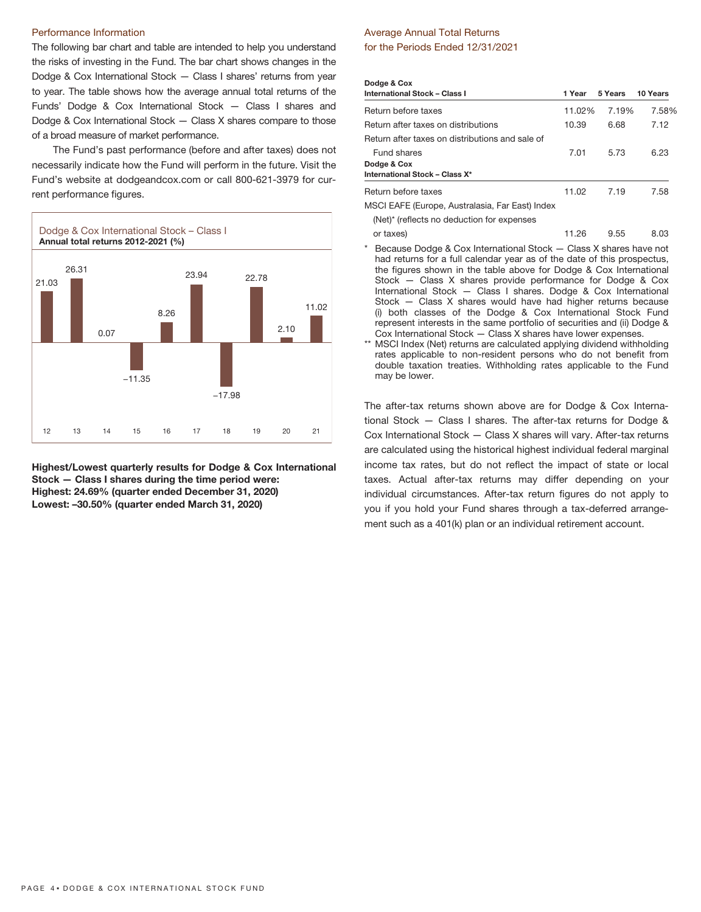#### Performance Information

The following bar chart and table are intended to help you understand the risks of investing in the Fund. The bar chart shows changes in the Dodge & Cox International Stock — Class I shares' returns from year to year. The table shows how the average annual total returns of the Funds' Dodge & Cox International Stock — Class I shares and Dodge & Cox International Stock — Class X shares compare to those of a broad measure of market performance.

The Fund's past performance (before and after taxes) does not necessarily indicate how the Fund will perform in the future. Visit the Fund's website at dodgeandcox.com or call 800-621-3979 for current performance figures.



**Highest/Lowest quarterly results for Dodge & Cox International Stock — Class I shares during the time period were: Highest: 24.69% (quarter ended December 31, 2020) Lowest: –30.50% (quarter ended March 31, 2020)**

# Average Annual Total Returns for the Periods Ended 12/31/2021

| Dodge & Cox                                     |        |         |          |
|-------------------------------------------------|--------|---------|----------|
| <b>International Stock - Class I</b>            | 1 Year | 5 Years | 10 Years |
| Return before taxes                             | 11.02% | 7.19%   | 7.58%    |
| Return after taxes on distributions             | 10.39  | 6.68    | 7.12     |
| Return after taxes on distributions and sale of |        |         |          |
| Fund shares<br>Dodge & Cox                      | 7.01   | 5.73    | 6.23     |
| International Stock - Class X*                  |        |         |          |
| Return before taxes                             | 11.02  | 7.19    | 7.58     |
| MSCI EAFE (Europe, Australasia, Far East) Index |        |         |          |
| (Net)* (reflects no deduction for expenses      |        |         |          |

or taxes) 11.26 9.55 8.03 Because Dodge & Cox International Stock — Class X shares have not had returns for a full calendar year as of the date of this prospectus, the figures shown in the table above for Dodge & Cox International Stock — Class X shares provide performance for Dodge & Cox International Stock — Class I shares. Dodge & Cox International Stock — Class X shares would have had higher returns because (i) both classes of the Dodge & Cox International Stock Fund represent interests in the same portfolio of securities and (ii) Dodge &

Cox International Stock — Class X shares have lower expenses. \*\* MSCI Index (Net) returns are calculated applying dividend withholding rates applicable to non-resident persons who do not benefit from double taxation treaties. Withholding rates applicable to the Fund may be lower.

The after-tax returns shown above are for Dodge & Cox International Stock — Class I shares. The after-tax returns for Dodge & Cox International Stock — Class X shares will vary. After-tax returns are calculated using the historical highest individual federal marginal income tax rates, but do not reflect the impact of state or local taxes. Actual after-tax returns may differ depending on your individual circumstances. After-tax return figures do not apply to you if you hold your Fund shares through a tax-deferred arrangement such as a 401(k) plan or an individual retirement account.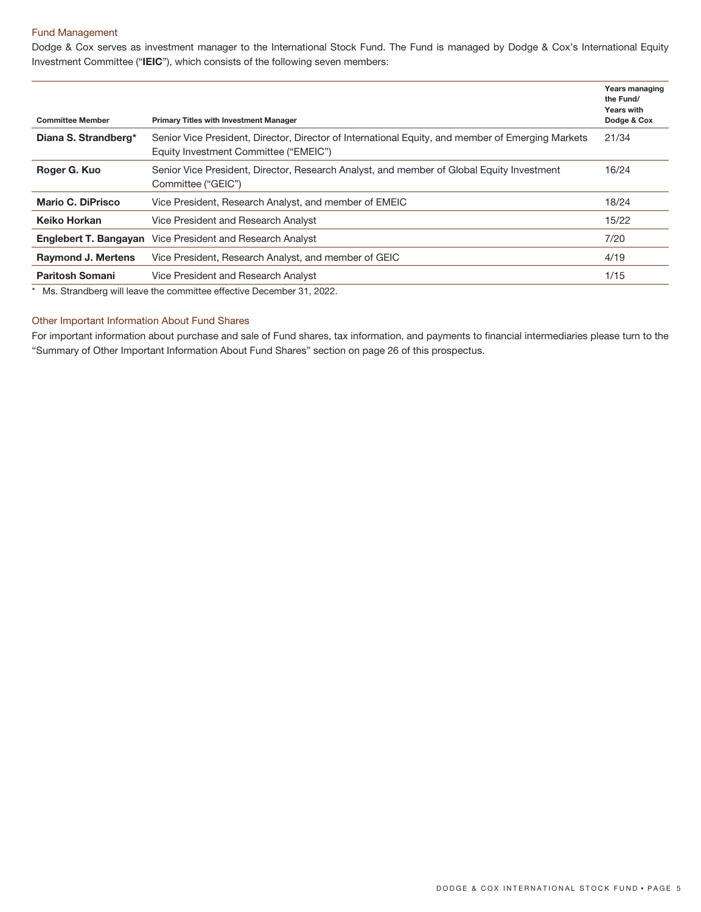# Fund Management

Dodge & Cox serves as investment manager to the International Stock Fund. The Fund is managed by Dodge & Cox's International Equity Investment Committee ("**IEIC**"), which consists of the following seven members:

| <b>Committee Member</b>   | <b>Primary Titles with Investment Manager</b>                                                                                              | <b>Years managing</b><br>the Fund/<br><b>Years with</b><br>Dodge & Cox |
|---------------------------|--------------------------------------------------------------------------------------------------------------------------------------------|------------------------------------------------------------------------|
| Diana S. Strandberg*      | Senior Vice President, Director, Director of International Equity, and member of Emerging Markets<br>Equity Investment Committee ("EMEIC") | 21/34                                                                  |
| Roger G. Kuo              | Senior Vice President, Director, Research Analyst, and member of Global Equity Investment<br>Committee ("GEIC")                            | 16/24                                                                  |
| Mario C. DiPrisco         | Vice President, Research Analyst, and member of EMEIC                                                                                      | 18/24                                                                  |
| Keiko Horkan              | Vice President and Research Analyst                                                                                                        | 15/22                                                                  |
| Englebert T. Bangayan     | Vice President and Research Analyst                                                                                                        | 7/20                                                                   |
| <b>Raymond J. Mertens</b> | Vice President, Research Analyst, and member of GEIC                                                                                       | 4/19                                                                   |
| <b>Paritosh Somani</b>    | Vice President and Research Analyst                                                                                                        | 1/15                                                                   |
|                           |                                                                                                                                            |                                                                        |

\* Ms. Strandberg will leave the committee effective December 31, 2022.

# Other Important Information About Fund Shares

For important information about purchase and sale of Fund shares, tax information, and payments to financial intermediaries please turn to the "Summary of Other Important Information About Fund Shares" section on page 26 of this prospectus.